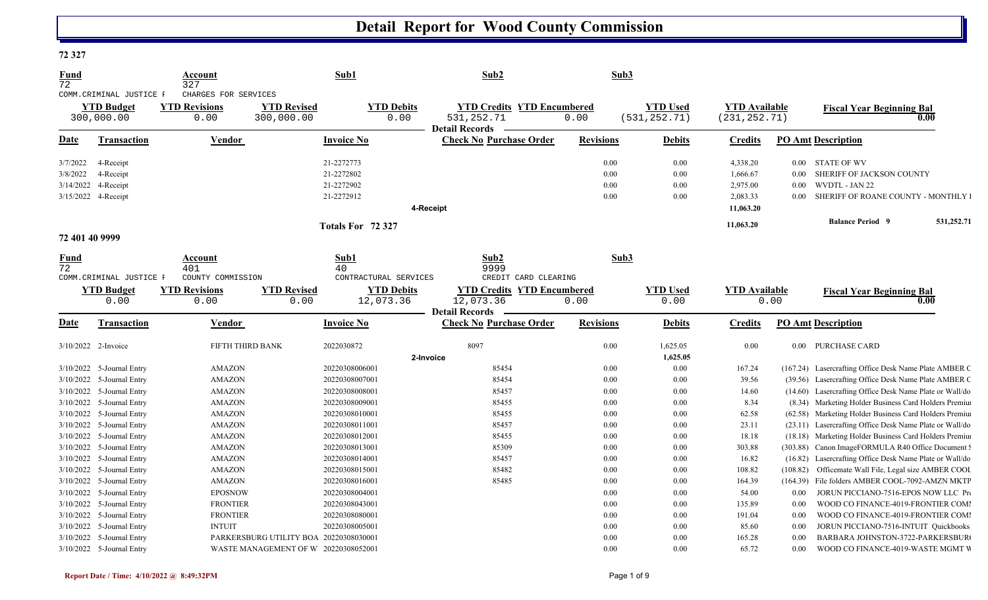#### **72 327**

| <u>Fund</u><br>72                                        |                                                             | Account<br>327                                       |                                        | Sub1                                                 | Sub2                                                                       | Sub3                         |                                  |                                                           |                      |                                                                                                      |
|----------------------------------------------------------|-------------------------------------------------------------|------------------------------------------------------|----------------------------------------|------------------------------------------------------|----------------------------------------------------------------------------|------------------------------|----------------------------------|-----------------------------------------------------------|----------------------|------------------------------------------------------------------------------------------------------|
|                                                          | COMM. CRIMINAL JUSTICE F<br><b>YTD Budget</b><br>300,000.00 | CHARGES FOR SERVICES<br><b>YTD Revisions</b><br>0.00 | <b>YTD Revised</b><br>300,000.00       | <b>YTD Debits</b><br>0.00                            | <b>YTD Credits YTD Encumbered</b><br>531, 252. 71<br><b>Detail Records</b> | 0.00                         | <b>YTD Used</b><br>(531, 252.71) | <b>YTD Available</b><br>(231, 252.71)                     |                      | <b>Fiscal Year Beginning Bal</b><br>0.00                                                             |
| <b>Date</b>                                              | <b>Transaction</b>                                          | Vendor                                               |                                        | <b>Invoice No</b>                                    | <b>Check No Purchase Order</b>                                             | <b>Revisions</b>             | <b>Debits</b>                    | <b>Credits</b>                                            |                      | <b>PO Amt Description</b>                                                                            |
| 3/7/2022<br>3/8/2022<br>3/14/2022<br>3/15/2022 4-Receipt | 4-Receipt<br>4-Receipt<br>4-Receipt                         |                                                      |                                        | 21-2272773<br>21-2272802<br>21-2272902<br>21-2272912 | 4-Receipt                                                                  | 0.00<br>0.00<br>0.00<br>0.00 | 0.00<br>0.00<br>0.00<br>0.00     | 4,338.20<br>1,666.67<br>2,975.00<br>2,083.33<br>11,063.20 | 0.00<br>0.00<br>0.00 | 0.00 STATE OF WV<br>SHERIFF OF JACKSON COUNTY<br>WVDTL - JAN 22<br>SHERIFF OF ROANE COUNTY - MONTHLY |
|                                                          |                                                             |                                                      |                                        | Totals For 72 327                                    |                                                                            |                              |                                  | 11,063.20                                                 |                      | <b>Balance Period 9</b><br>531,252.71                                                                |
| 72 401 40 9999                                           |                                                             |                                                      |                                        |                                                      |                                                                            |                              |                                  |                                                           |                      |                                                                                                      |
| Fund<br>72                                               | COMM. CRIMINAL JUSTICE F                                    | Account<br>401<br>COUNTY COMMISSION                  |                                        | Sub1<br>40<br>CONTRACTURAL SERVICES                  | Sub2<br>9999<br>CREDIT CARD CLEARING                                       | Sub3                         |                                  |                                                           |                      |                                                                                                      |
|                                                          | <b>YTD Budget</b><br>0.00                                   | <b>YTD Revisions</b><br>0.00                         | <b>YTD Revised</b><br>0.00             | <b>YTD Debits</b><br>12,073.36                       | <b>YTD Credits YTD Encumbered</b><br>12,073.36<br><b>Detail Records</b>    | 0.00                         | <b>YTD Used</b><br>0.00          | <b>YTD Available</b>                                      | 0.00                 | <b>Fiscal Year Beginning Bal</b><br>0.00                                                             |
| <u>Date</u>                                              | Transaction                                                 | Vendor                                               |                                        | <b>Invoice No</b>                                    | <b>Check No Purchase Order</b>                                             | <b>Revisions</b>             | <b>Debits</b>                    | <b>Credits</b>                                            |                      | <b>PO Amt Description</b>                                                                            |
| 3/10/2022 2-Invoice                                      |                                                             | FIFTH THIRD BANK                                     |                                        | 2022030872                                           | 8097<br>2-Invoice                                                          | 0.00                         | 1,625.05<br>1,625.05             | 0.00                                                      |                      | 0.00 PURCHASE CARD                                                                                   |
|                                                          | $3/10/2022$ 5-Journal Entry                                 | <b>AMAZON</b>                                        |                                        | 20220308006001                                       | 85454                                                                      | 0.00                         | 0.00                             | 167.24                                                    |                      | (167.24) Lasercrafting Office Desk Name Plate AMBER C                                                |
|                                                          | 3/10/2022 5-Journal Entry                                   | <b>AMAZON</b>                                        |                                        | 20220308007001                                       | 85454                                                                      | 0.00                         | 0.00                             | 39.56                                                     |                      | (39.56) Lasercrafting Office Desk Name Plate AMBER C                                                 |
|                                                          | 3/10/2022 5-Journal Entry                                   | <b>AMAZON</b>                                        |                                        | 20220308008001                                       | 85457                                                                      | 0.00                         | 0.00                             | 14.60                                                     |                      | (14.60) Lasercrafting Office Desk Name Plate or Wall/do                                              |
|                                                          | 3/10/2022 5-Journal Entry                                   | <b>AMAZON</b>                                        |                                        | 20220308009001                                       | 85455                                                                      | 0.00                         | 0.00                             | 8.34                                                      |                      | (8.34) Marketing Holder Business Card Holders Premiu                                                 |
|                                                          | 3/10/2022 5-Journal Entry                                   | <b>AMAZON</b>                                        |                                        | 20220308010001                                       | 85455                                                                      | 0.00                         | 0.00                             | 62.58                                                     |                      | (62.58) Marketing Holder Business Card Holders Premius                                               |
|                                                          | 3/10/2022 5-Journal Entry                                   | <b>AMAZON</b>                                        |                                        | 20220308011001                                       | 85457                                                                      | 0.00                         | $0.00\,$                         | 23.11                                                     |                      | (23.11) Lasercrafting Office Desk Name Plate or Wall/do                                              |
|                                                          | 3/10/2022 5-Journal Entry                                   | <b>AMAZON</b>                                        |                                        | 20220308012001                                       | 85455                                                                      | 0.00                         | 0.00                             | 18.18                                                     |                      | (18.18) Marketing Holder Business Card Holders Premius                                               |
|                                                          | 3/10/2022 5-Journal Entry                                   | <b>AMAZON</b>                                        |                                        | 20220308013001                                       | 85309                                                                      | 0.00                         | 0.00                             | 303.88                                                    | (303.88)             | Canon ImageFORMULA R40 Office Document !                                                             |
|                                                          | 3/10/2022 5-Journal Entry                                   | <b>AMAZON</b>                                        |                                        | 20220308014001                                       | 85457                                                                      | 0.00                         | 0.00                             | 16.82                                                     | (16.82)              | Lasercrafting Office Desk Name Plate or Wall/do                                                      |
|                                                          | 3/10/2022 5-Journal Entry                                   | <b>AMAZON</b>                                        |                                        | 20220308015001                                       | 85482                                                                      | 0.00                         | 0.00                             | 108.82                                                    | (108.82)             | Officemate Wall File, Legal size AMBER COOI                                                          |
|                                                          | 3/10/2022 5-Journal Entry                                   | <b>AMAZON</b>                                        |                                        | 20220308016001                                       | 85485                                                                      | 0.00                         | 0.00                             | 164.39                                                    | (164.39)             | File folders AMBER COOL-7092-AMZN MKTF                                                               |
|                                                          | 3/10/2022 5-Journal Entry                                   | <b>EPOSNOW</b>                                       |                                        | 20220308004001                                       |                                                                            | 0.00                         | 0.00                             | 54.00                                                     | 0.00                 | JORUN PICCIANO-7516-EPOS NOW LLC Pro                                                                 |
|                                                          | 3/10/2022 5-Journal Entry                                   | <b>FRONTIER</b>                                      |                                        | 20220308043001                                       |                                                                            | 0.00                         | 0.00                             | 135.89                                                    | 0.00                 | WOOD CO FINANCE-4019-FRONTIER COMI                                                                   |
|                                                          | 3/10/2022 5-Journal Entry                                   | <b>FRONTIER</b>                                      |                                        | 20220308080001                                       |                                                                            | 0.00                         | 0.00                             | 191.04                                                    | 0.00                 | WOOD CO FINANCE-4019-FRONTIER COMI                                                                   |
|                                                          | 3/10/2022 5-Journal Entry                                   | <b>INTUIT</b>                                        |                                        | 20220308005001                                       |                                                                            | 0.00                         | 0.00                             | 85.60                                                     | 0.00                 | JORUN PICCIANO-7516-INTUIT Quickbooks                                                                |
|                                                          | 3/10/2022 5-Journal Entry                                   |                                                      | PARKERSBURG UTILITY BOA 20220308030001 |                                                      |                                                                            | 0.00                         | 0.00                             | 165.28                                                    | 0.00                 | BARBARA JOHNSTON-3722-PARKERSBUR                                                                     |
|                                                          | 3/10/2022 5-Journal Entry                                   |                                                      | WASTE MANAGEMENT OF W 20220308052001   |                                                      |                                                                            | 0.00                         | 0.00                             | 65.72                                                     | 0.00                 | WOOD CO FINANCE-4019-WASTE MGMT V                                                                    |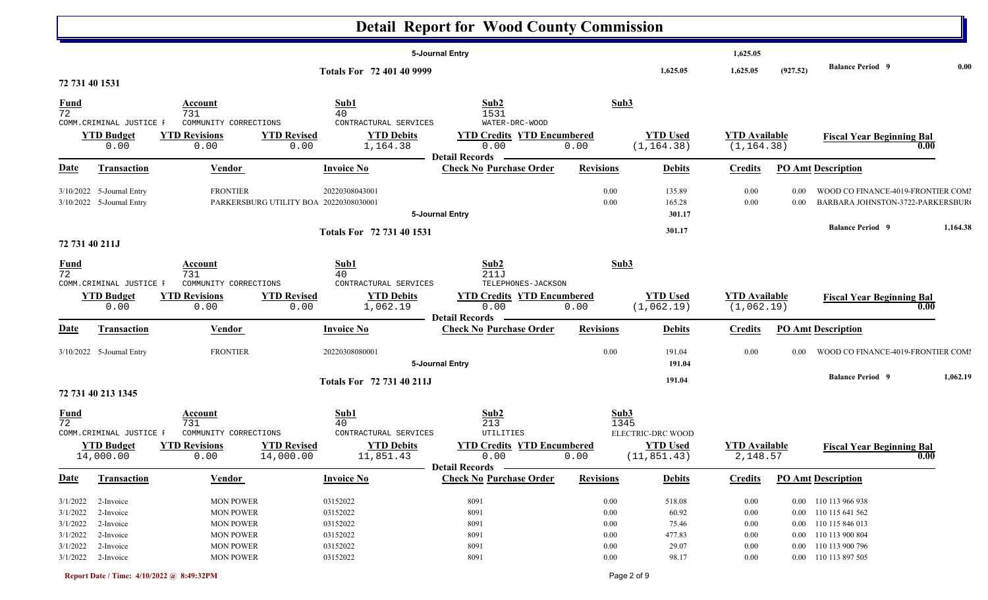|                                              |                                                        |                                                                              |                                               |                                              | <b>Detail Report for Wood County Commission</b>                    |                                              |                                    |                                      |              |                                                                                              |                   |
|----------------------------------------------|--------------------------------------------------------|------------------------------------------------------------------------------|-----------------------------------------------|----------------------------------------------|--------------------------------------------------------------------|----------------------------------------------|------------------------------------|--------------------------------------|--------------|----------------------------------------------------------------------------------------------|-------------------|
|                                              |                                                        |                                                                              |                                               |                                              | 5-Journal Entry                                                    |                                              |                                    | 1,625.05                             |              |                                                                                              |                   |
| 72 731 40 1531                               |                                                        |                                                                              |                                               | Totals For 72 401 40 9999                    |                                                                    |                                              | 1,625.05                           | 1,625.05                             | (927.52)     | <b>Balance Period 9</b>                                                                      | 0.00              |
| $\frac{Fund}{72}$                            | COMM. CRIMINAL JUSTICE F                               | <b>Account</b><br>731<br>COMMUNITY CORRECTIONS                               |                                               | Sub1<br>40<br>CONTRACTURAL SERVICES          | Sub2<br>1531<br>WATER-DRC-WOOD                                     | Sub3                                         |                                    |                                      |              |                                                                                              |                   |
|                                              | <b>YTD Budget</b><br>0.00                              | <b>YTD Revisions</b><br>0.00                                                 | <b>YTD Revised</b><br>0.00                    | <b>YTD Debits</b><br>1,164.38                | <b>YTD Credits YTD Encumbered</b><br>0.00<br><b>Detail Records</b> | 0.00                                         | <b>YTD Used</b><br>(1, 164.38)     | <b>YTD Available</b><br>(1, 164.38)  |              | <b>Fiscal Year Beginning Bal</b>                                                             | 0.00              |
| <b>Date</b>                                  | <b>Transaction</b>                                     | <b>Vendor</b>                                                                |                                               | <b>Invoice No</b>                            | <b>Check No Purchase Order</b>                                     | <b>Revisions</b>                             | <b>Debits</b>                      | <b>Credits</b>                       |              | <b>PO Amt Description</b>                                                                    |                   |
|                                              | 3/10/2022 5-Journal Entry<br>3/10/2022 5-Journal Entry | <b>FRONTIER</b>                                                              | PARKERSBURG UTILITY BOA 20220308030001        | 20220308043001                               | 5-Journal Entry                                                    | 0.00<br>0.00                                 | 135.89<br>165.28<br>301.17         | 0.00<br>0.00                         | 0.00<br>0.00 | WOOD CO FINANCE-4019-FRONTIER COMI<br>BARBARA JOHNSTON-3722-PARKERSBUR                       |                   |
| 72 731 40 211J                               |                                                        |                                                                              |                                               | Totals For 72 731 40 1531                    |                                                                    |                                              | 301.17                             |                                      |              | <b>Balance Period 9</b>                                                                      | 1,164.38          |
| <b>Fund</b><br>$\overline{72}$               | COMM. CRIMINAL JUSTICE F                               | Account<br>731<br>COMMUNITY CORRECTIONS                                      |                                               | Sub1<br>40<br>CONTRACTURAL SERVICES          | Sub2<br>211J<br>TELEPHONES-JACKSON                                 | Sub3                                         |                                    |                                      |              |                                                                                              |                   |
|                                              | <b>YTD Budget</b><br>0.00                              | <b>YTD Revisions</b><br>0.00                                                 | <b>YTD Revised</b><br>0.00                    | <b>YTD Debits</b><br>1,062.19                | <b>YTD Credits YTD Encumbered</b><br>0.00<br><b>Detail Records</b> | 0.00                                         | <b>YTD Used</b><br>(1,062.19)      | <b>YTD Available</b><br>(1, 062.19)  |              | <b>Fiscal Year Beginning Bal</b>                                                             | $\overline{0.00}$ |
| Date                                         | Transaction                                            | <b>Vendor</b>                                                                |                                               | <b>Invoice No</b>                            | <b>Check No Purchase Order</b>                                     | <b>Revisions</b>                             | <b>Debits</b>                      | <b>Credits</b>                       |              | <b>PO Amt Description</b>                                                                    |                   |
|                                              | 3/10/2022 5-Journal Entry                              | <b>FRONTIER</b>                                                              |                                               | 20220308080001                               | 5-Journal Entry                                                    | 0.00                                         | 191.04<br>191.04                   | 0.00                                 | $0.00\,$     | WOOD CO FINANCE-4019-FRONTIER COMI                                                           |                   |
|                                              | 72 731 40 213 1345                                     |                                                                              |                                               | Totals For 72 731 40 211J                    |                                                                    |                                              | 191.04                             |                                      |              | <b>Balance Period 9</b>                                                                      | 1,062.19          |
| $\frac{Fund}{72}$                            | COMM. CRIMINAL JUSTICE F                               | <b>Account</b><br>731<br>COMMUNITY CORRECTIONS                               |                                               | Sub1<br>40<br>CONTRACTURAL SERVICES          | Sub2<br>213<br>UTILITIES                                           | Sub3<br>1345                                 | ELECTRIC-DRC WOOD                  |                                      |              |                                                                                              |                   |
|                                              | <b>YTD Budget</b><br>14,000.00                         | <b>YTD Revisions</b><br>0.00                                                 | <b>YTD Revised</b><br>$\overline{14}$ ,000.00 | <b>YTD Debits</b><br>11,851.43               | <b>YTD Credits YTD Encumbered</b><br>0.00<br>Detail Records –      | 0.00                                         | <b>YTD Used</b><br>(11, 851.43)    | <b>YTD</b> Available<br>2,148.57     |              | <b>Fiscal Year Beginning Bal</b>                                                             | 0.00              |
| <b>Date</b>                                  | Transaction                                            | <b>Vendor</b>                                                                |                                               | <b>Invoice No</b>                            | <b>Check No Purchase Order</b>                                     | <b>Revisions</b>                             | <b>Debits</b>                      | <b>Credits</b>                       |              | <b>PO Amt Description</b>                                                                    |                   |
| 3/1/2022<br>3/1/2022<br>3/1/2022<br>3/1/2022 | 2-Invoice<br>2-Invoice<br>2-Invoice<br>2-Invoice       | <b>MON POWER</b><br><b>MON POWER</b><br><b>MON POWER</b><br><b>MON POWER</b> |                                               | 03152022<br>03152022<br>03152022<br>03152022 | 8091<br>8091<br>8091<br>8091                                       | $0.00\,$<br>$0.00\,$<br>$0.00\,$<br>$0.00\,$ | 518.08<br>60.92<br>75.46<br>477.83 | 0.00<br>0.00<br>$0.00\,$<br>$0.00\,$ |              | 0.00 110 113 966 938<br>0.00 110 115 641 562<br>0.00 110 115 846 013<br>0.00 110 113 900 804 |                   |
|                                              | $3/1/2022$ 2-Invoice<br>$3/1/2022$ 2-Invoice           | <b>MON POWER</b><br><b>MON POWER</b>                                         |                                               | 03152022<br>03152022                         | 8091<br>8091                                                       | 0.00<br>$0.00\,$                             | 29.07<br>98.17                     | 0.00<br>$0.00\,$                     |              | 0.00 110 113 900 796<br>0.00 110 113 897 505                                                 |                   |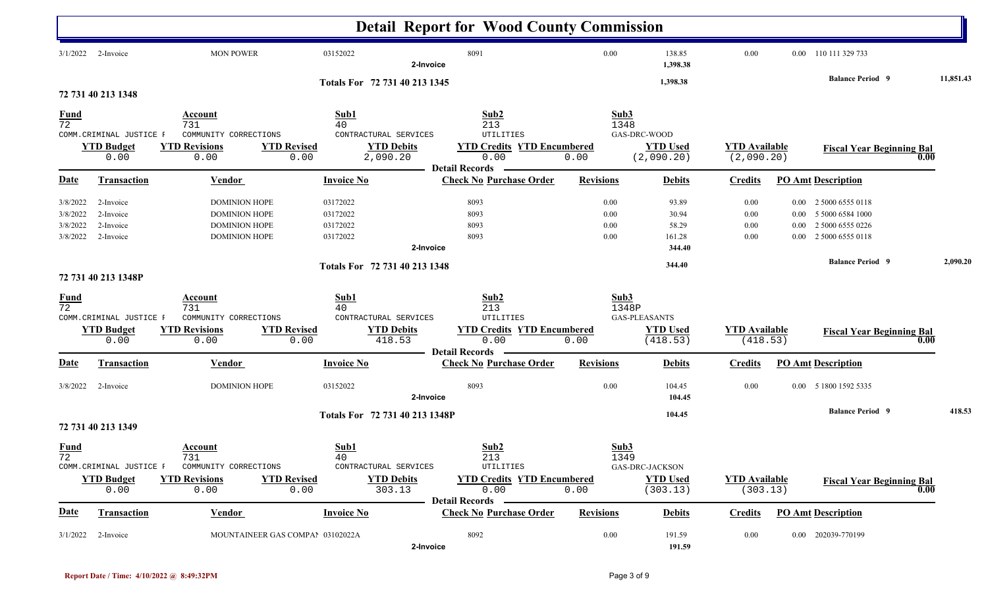|                                              |                                                       |                                                                                              |                                                                   | <b>Detail Report for Wood County Commission</b>                                                                                                   |                                               |                                                       |                                    |                      |                                                                                        |           |
|----------------------------------------------|-------------------------------------------------------|----------------------------------------------------------------------------------------------|-------------------------------------------------------------------|---------------------------------------------------------------------------------------------------------------------------------------------------|-----------------------------------------------|-------------------------------------------------------|------------------------------------|----------------------|----------------------------------------------------------------------------------------|-----------|
| 3/1/2022                                     | 2-Invoice                                             | <b>MON POWER</b>                                                                             | 03152022                                                          | 8091<br>2-Invoice                                                                                                                                 | 0.00                                          | 138.85<br>1,398.38                                    | 0.00                               |                      | 0.00 110 111 329 733                                                                   |           |
|                                              | 72 731 40 213 1348                                    |                                                                                              | Totals For 72 731 40 213 1345                                     |                                                                                                                                                   |                                               | 1,398.38                                              |                                    |                      | <b>Balance Period 9</b>                                                                | 11,851.43 |
| <b>Fund</b><br>$\overline{72}$               |                                                       | Account<br>731                                                                               | Sub1<br>40                                                        | Sub2<br>213                                                                                                                                       | Sub3<br>1348                                  |                                                       |                                    |                      |                                                                                        |           |
|                                              | COMM. CRIMINAL JUSTICE F<br><b>YTD Budget</b><br>0.00 | COMMUNITY CORRECTIONS<br><b>YTD Revisions</b><br>0.00                                        | <b>YTD Revised</b><br>0.00                                        | UTILITIES<br>CONTRACTURAL SERVICES<br><b>YTD Debits</b><br><b>YTD Credits YTD Encumbered</b><br>2,090.20<br>0.00                                  | GAS-DRC-WOOD<br>0.00                          | <b>YTD Used</b><br>(2,090.20)                         | <b>YTD Available</b><br>(2,090.20) |                      | <b>Fiscal Year Beginning Bal</b>                                                       | 0.00      |
| <b>Date</b>                                  | <b>Transaction</b>                                    | <b>Vendor</b>                                                                                | <b>Invoice No</b>                                                 | <b>Detail Records</b><br><b>Check No Purchase Order</b>                                                                                           | <b>Revisions</b>                              | <b>Debits</b>                                         | <b>Credits</b>                     |                      | <b>PO Amt Description</b>                                                              |           |
| 3/8/2022<br>3/8/2022<br>3/8/2022<br>3/8/2022 | 2-Invoice<br>2-Invoice<br>2-Invoice<br>2-Invoice      | <b>DOMINION HOPE</b><br><b>DOMINION HOPE</b><br><b>DOMINION HOPE</b><br><b>DOMINION HOPE</b> | 03172022<br>03172022<br>03172022<br>03172022                      | 8093<br>8093<br>8093<br>8093<br>2-Invoice                                                                                                         | 0.00<br>0.00<br>0.00<br>0.00                  | 93.89<br>30.94<br>58.29<br>161.28<br>344.40           | 0.00<br>0.00<br>0.00<br>0.00       | $0.00\,$<br>$0.00\,$ | 0.00 2 5000 6555 0118<br>0.00 5 5000 6584 1000<br>2 5000 6555 0226<br>2 5000 6555 0118 |           |
|                                              | 72 731 40 213 1348P                                   |                                                                                              | Totals For 72 731 40 213 1348                                     |                                                                                                                                                   |                                               | 344.40                                                |                                    |                      | <b>Balance Period 9</b>                                                                | 2,090.20  |
| <b>Fund</b><br>$\overline{72}$               | COMM. CRIMINAL JUSTICE F<br><b>YTD Budget</b><br>0.00 | Account<br>731<br>COMMUNITY CORRECTIONS<br><b>YTD Revisions</b><br>0.00                      | Sub1<br>40<br>CONTRACTURAL SERVICES<br><b>YTD Revised</b><br>0.00 | Sub2<br>213<br>UTILITIES<br><b>YTD Debits</b><br><b>YTD Credits YTD Encumbered</b><br>418.53<br>0.00<br><b>Detail Records</b>                     | Sub3<br>1348P<br><b>GAS-PLEASANTS</b><br>0.00 | <b>YTD Used</b><br>(418.53)                           | <b>YTD Available</b><br>(418.53)   |                      | <b>Fiscal Year Beginning Bal</b>                                                       | 0.00      |
| <b>Date</b>                                  | <b>Transaction</b>                                    | <b>Vendor</b>                                                                                | <b>Invoice No</b>                                                 | <b>Check No Purchase Order</b>                                                                                                                    | <b>Revisions</b>                              | <b>Debits</b>                                         | <b>Credits</b>                     |                      | <b>PO Amt Description</b>                                                              |           |
| 3/8/2022                                     | 2-Invoice                                             | <b>DOMINION HOPE</b>                                                                         | 03152022                                                          | 8093<br>2-Invoice                                                                                                                                 | 0.00                                          | 104.45<br>104.45                                      | 0.00                               |                      | 0.00 5 1800 1592 5335<br><b>Balance Period 9</b>                                       | 418.53    |
|                                              | 72 731 40 213 1349                                    |                                                                                              |                                                                   | Totals For 72 731 40 213 1348P                                                                                                                    |                                               | 104.45                                                |                                    |                      |                                                                                        |           |
| <u>Fund</u><br>72                            | COMM. CRIMINAL JUSTICE F<br><b>YTD Budget</b><br>0.00 | <b>Account</b><br>731<br>COMMUNITY CORRECTIONS<br><b>YTD Revisions</b><br>0.00               | Sub1<br>40<br><b>YTD Revised</b><br>0.00                          | Sub2<br>213<br>CONTRACTURAL SERVICES<br>UTILITIES<br><b>YTD Debits</b><br><b>YTD Credits YTD Encumbered</b><br>303.13<br>0.00<br>Detail Records - | Sub3<br>1349<br>0.00                          | <b>GAS-DRC-JACKSON</b><br><b>YTD Used</b><br>(303.13) | <b>YTD Available</b><br>(303.13)   |                      | <b>Fiscal Year Beginning Bal</b>                                                       | 0.00      |
| <u>Date</u>                                  | <b>Transaction</b>                                    | <b>Vendor</b>                                                                                | <b>Invoice No</b>                                                 | <b>Check No Purchase Order</b>                                                                                                                    | <b>Revisions</b>                              | <b>Debits</b>                                         | <b>Credits</b>                     |                      | <b>PO Amt Description</b>                                                              |           |
|                                              | $3/1/2022$ 2-Invoice                                  |                                                                                              | MOUNTAINEER GAS COMPAI 03102022A                                  | 8092<br>2-Invoice                                                                                                                                 | 0.00                                          | 191.59<br>191.59                                      | 0.00                               |                      | 0.00 202039-770199                                                                     |           |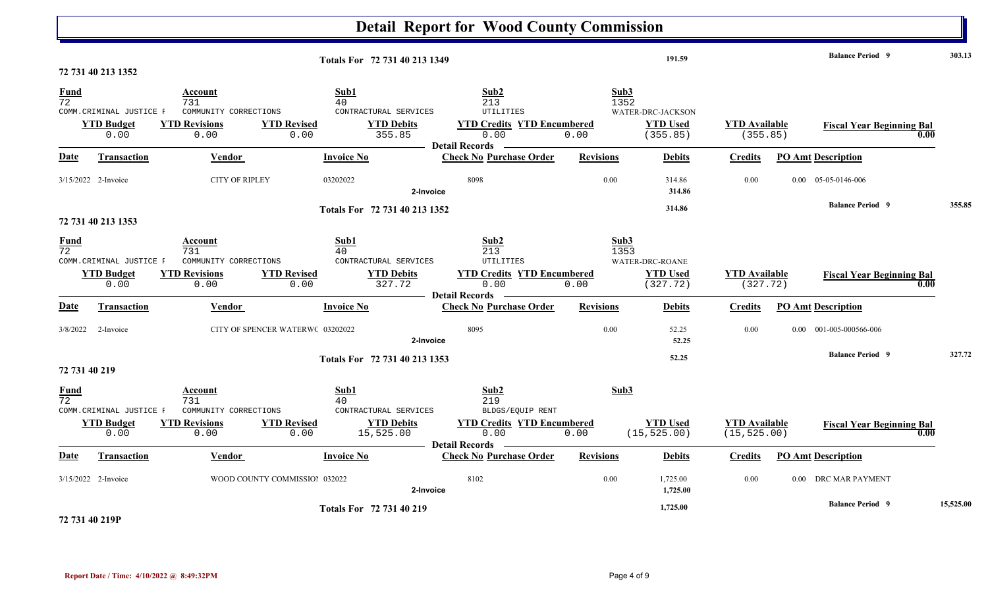|                                |                                                       |                                                                                |                                                                                                     | <b>Detail Report for Wood County Commission</b>                                                                 |                                                                          |                                      |                                                    |           |
|--------------------------------|-------------------------------------------------------|--------------------------------------------------------------------------------|-----------------------------------------------------------------------------------------------------|-----------------------------------------------------------------------------------------------------------------|--------------------------------------------------------------------------|--------------------------------------|----------------------------------------------------|-----------|
|                                | 72 731 40 213 1352                                    |                                                                                | Totals For 72 731 40 213 1349                                                                       |                                                                                                                 | 191.59                                                                   |                                      | <b>Balance Period</b> 9                            | 303.13    |
| <b>Fund</b><br>$\overline{72}$ | COMM. CRIMINAL JUSTICE F<br><b>YTD Budget</b><br>0.00 | <b>Account</b><br>731<br>COMMUNITY CORRECTIONS<br><b>YTD Revisions</b><br>0.00 | Sub1<br>40<br>CONTRACTURAL SERVICES<br><b>YTD Revised</b><br><b>YTD Debits</b><br>0.00<br>355.85    | Sub2<br>213<br><b>UTILITIES</b><br><b>YTD Credits YTD Encumbered</b><br>0.00<br>- Detail Records                | Sub3<br>1352<br>WATER-DRC-JACKSON<br><b>YTD Used</b><br>0.00<br>(355.85) | <b>YTD</b> Available<br>(355.85)     | <b>Fiscal Year Beginning Bal</b>                   | 0.00      |
| Date                           | Transaction                                           | Vendor                                                                         | <b>Invoice No</b>                                                                                   | <b>Check No Purchase Order</b>                                                                                  | <b>Revisions</b><br><b>Debits</b>                                        | <b>Credits</b>                       | <b>PO Amt Description</b>                          |           |
|                                | 3/15/2022 2-Invoice                                   | <b>CITY OF RIPLEY</b>                                                          | 03202022                                                                                            | 8098<br>2-Invoice                                                                                               | 0.00<br>314.86<br>314.86                                                 | 0.00                                 | $0.00 \quad 05-05-0146-006$                        |           |
|                                | 72 731 40 213 1353                                    |                                                                                | Totals For 72 731 40 213 1352                                                                       |                                                                                                                 | 314.86                                                                   |                                      | <b>Balance Period 9</b>                            | 355.85    |
| Fund<br>$\overline{72}$        | COMM.CRIMINAL JUSTICE F<br><b>YTD Budget</b><br>0.00  | Account<br>731<br>COMMUNITY CORRECTIONS<br><b>YTD Revisions</b><br>0.00        | Sub1<br>40<br>CONTRACTURAL SERVICES<br><b>YTD Revised</b><br><b>YTD Debits</b><br>0.00<br>327.72    | Sub2<br>213<br><b>UTILITIES</b><br><b>YTD Credits YTD Encumbered</b><br>0.00<br><b>Detail Records</b>           | Sub3<br>1353<br>WATER-DRC-ROANE<br><b>YTD Used</b><br>0.00<br>(327.72)   | <b>YTD Available</b><br>(327.72)     | <b>Fiscal Year Beginning Bal</b>                   | 0.00      |
| Date                           | Transaction                                           | Vendor                                                                         | <b>Invoice No</b>                                                                                   | <b>Check No Purchase Order</b>                                                                                  | <b>Revisions</b><br><b>Debits</b>                                        | <b>Credits</b>                       | <b>PO Amt Description</b>                          |           |
|                                | 3/8/2022 2-Invoice                                    |                                                                                | CITY OF SPENCER WATERWC 03202022<br>Totals For 72 731 40 213 1353                                   | 8095<br>2-Invoice                                                                                               | 0.00<br>52.25<br>52.25<br>52.25                                          | 0.00                                 | 0.00 001-005-000566-006<br><b>Balance Period 9</b> | 327.72    |
| 72 731 40 219                  |                                                       |                                                                                |                                                                                                     |                                                                                                                 |                                                                          |                                      |                                                    |           |
| Fund<br>$\overline{72}$        | COMM. CRIMINAL JUSTICE F<br><b>YTD Budget</b><br>0.00 | Account<br>731<br>COMMUNITY CORRECTIONS<br><b>YTD Revisions</b><br>0.00        | Sub1<br>40<br>CONTRACTURAL SERVICES<br><b>YTD Revised</b><br><b>YTD Debits</b><br>0.00<br>15,525.00 | Sub2<br>219<br>BLDGS/EQUIP RENT<br><b>YTD Credits YTD Encumbered</b><br>0.00<br><b>Example 1</b> Detail Records | Sub3<br><b>YTD Used</b><br>(15, 525.00)<br>0.00                          | <b>YTD Available</b><br>(15, 525.00) | <b>Fiscal Year Beginning Bal</b>                   | 0.00      |
| Date                           | <b>Transaction</b>                                    | Vendor                                                                         | <b>Invoice No</b>                                                                                   | <b>Check No Purchase Order</b>                                                                                  | <b>Revisions</b><br><b>Debits</b>                                        | <b>Credits</b>                       | <b>PO Amt Description</b>                          |           |
|                                | 3/15/2022 2-Invoice                                   |                                                                                | WOOD COUNTY COMMISSIOI 032022                                                                       | 8102<br>2-Invoice                                                                                               | 0.00<br>1,725.00<br>1,725.00                                             | 0.00                                 | 0.00 DRC MAR PAYMENT                               |           |
|                                |                                                       |                                                                                | Totals For 72 731 40 219                                                                            |                                                                                                                 | 1,725.00                                                                 |                                      | <b>Balance Period 9</b>                            | 15,525.00 |

**72 731 40 219P**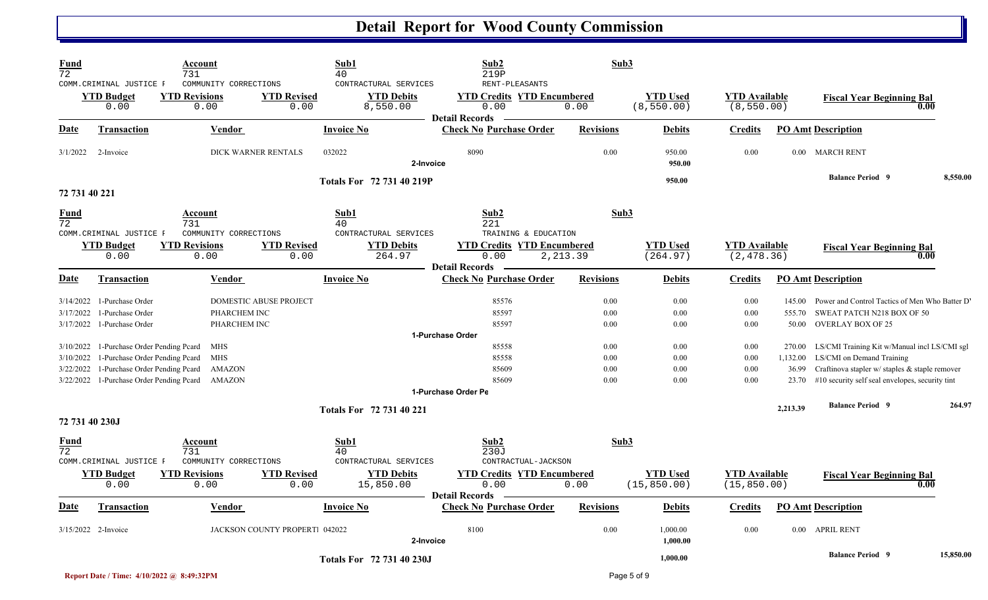| <b>Fund</b><br>$\overline{72}$      |                                                                    | Account<br>731                                                                            |                               | Sub1<br>40                                             | Sub2<br>219P                                                      | Sub3                 |                                 |                                      |                             |                                                                                                                             |           |
|-------------------------------------|--------------------------------------------------------------------|-------------------------------------------------------------------------------------------|-------------------------------|--------------------------------------------------------|-------------------------------------------------------------------|----------------------|---------------------------------|--------------------------------------|-----------------------------|-----------------------------------------------------------------------------------------------------------------------------|-----------|
|                                     | COMM.CRIMINAL JUSTICE F<br><b>YTD Budget</b><br>0.00               | COMMUNITY CORRECTIONS<br><b>YTD Revisions</b><br>0.00                                     | <b>YTD Revised</b><br>0.00    | CONTRACTURAL SERVICES<br><b>YTD Debits</b><br>8,550.00 | RENT-PLEASANTS<br><b>YTD Credits YTD Encumbered</b><br>0.00       | 0.00                 | <b>YTD Used</b><br>(8, 550.00)  | <b>YTD Available</b><br>(8, 550.00)  |                             | <b>Fiscal Year Beginning Bal</b>                                                                                            | 0.00      |
| Date                                | <b>Transaction</b>                                                 | <b>Vendor</b>                                                                             |                               | <b>Invoice No</b>                                      | <b>Detail Records</b><br><b>Check No Purchase Order</b>           | <b>Revisions</b>     | <b>Debits</b>                   | <b>Credits</b>                       |                             | <b>PO Amt Description</b>                                                                                                   |           |
| 3/1/2022                            | 2-Invoice                                                          |                                                                                           | DICK WARNER RENTALS           | 032022<br>2-Invoice                                    | 8090                                                              | 0.00                 | 950.00<br>950.00                | 0.00                                 |                             | 0.00 MARCH RENT                                                                                                             |           |
| 72 731 40 221                       |                                                                    |                                                                                           |                               | Totals For 72 731 40 219P                              |                                                                   |                      | 950.00                          |                                      |                             | <b>Balance Period 9</b>                                                                                                     | 8,550.00  |
| <b>Fund</b><br>72                   |                                                                    | Account<br>731                                                                            |                               | Sub1<br>40                                             | Sub2<br>221                                                       | Sub3                 |                                 |                                      |                             |                                                                                                                             |           |
|                                     | COMM. CRIMINAL JUSTICE F<br><b>YTD Budget</b><br>0.00              | COMMUNITY CORRECTIONS<br><b>YTD Revisions</b><br>0.00                                     | <b>YTD Revised</b><br>0.00    | CONTRACTURAL SERVICES<br><b>YTD Debits</b><br>264.97   | TRAINING & EDUCATION<br><b>YTD Credits YTD Encumbered</b><br>0.00 | 2, 213.39            | <b>YTD Used</b><br>(264.97)     | <b>YTD Available</b><br>(2, 478.36)  |                             | <b>Fiscal Year Beginning Bal</b>                                                                                            | 0.00      |
| Date                                | <b>Transaction</b>                                                 | Vendor                                                                                    |                               | <b>Invoice No</b>                                      | <b>Detail Records</b><br><b>Check No Purchase Order</b>           | <b>Revisions</b>     | <b>Debits</b>                   | <b>Credits</b>                       |                             | <b>PO Amt Description</b>                                                                                                   |           |
| 3/14/2022<br>3/17/2022              | 1-Purchase Order<br>1-Purchase Order<br>3/17/2022 1-Purchase Order | PHARCHEM INC<br>PHARCHEM INC                                                              | <b>DOMESTIC ABUSE PROJECT</b> |                                                        | 85576<br>85597<br>85597                                           | 0.00<br>0.00<br>0.00 | 0.00<br>0.00<br>0.00            | 0.00<br>0.00<br>0.00                 | 145.00<br>555.70<br>50.00   | Power and Control Tactics of Men Who Batter D'<br>SWEAT PATCH N218 BOX OF 50<br><b>OVERLAY BOX OF 25</b>                    |           |
| 3/10/2022<br>3/10/2022<br>3/22/2022 | 1-Purchase Order Pending Pcard                                     | <b>MHS</b><br>1-Purchase Order Pending Peard MHS<br>1-Purchase Order Pending Pcard AMAZON |                               |                                                        | 1-Purchase Order<br>85558<br>85558<br>85609                       | 0.00<br>0.00<br>0.00 | 0.00<br>0.00<br>0.00            | 0.00<br>0.00<br>0.00                 | 270.00<br>1,132.00<br>36.99 | LS/CMI Training Kit w/Manual incl LS/CMI sgl<br>LS/CMI on Demand Training<br>Craftinova stapler w/ staples & staple remover |           |
| 3/22/2022                           |                                                                    | 1-Purchase Order Pending Pcard AMAZON                                                     |                               |                                                        | 85609<br>1-Purchase Order Pe                                      | 0.00                 | 0.00                            | 0.00                                 | 23.70                       | #10 security self seal envelopes, security tint                                                                             |           |
| 72 731 40 230J                      |                                                                    |                                                                                           |                               | Totals For 72 731 40 221                               |                                                                   |                      |                                 |                                      | 2,213.39                    | <b>Balance Period 9</b>                                                                                                     | 264.97    |
| <b>Fund</b><br>$\overline{72}$      | COMM.CRIMINAL JUSTICE F                                            | <b>Account</b><br>731<br>COMMUNITY CORRECTIONS                                            |                               | Sub1<br>40<br>CONTRACTURAL SERVICES                    | Sub2<br>230J<br>CONTRACTUAL-JACKSON                               | Sub3                 |                                 |                                      |                             |                                                                                                                             |           |
|                                     | <b>YTD Budget</b><br>0.00                                          | <b>YTD Revisions</b><br>0.00                                                              | <b>YTD Revised</b><br>0.00    | <b>YTD Debits</b><br>15,850.00                         | <b>YTD Credits YTD Encumbered</b><br>0.00<br>Detail Records —     | 0.00                 | <b>YTD Used</b><br>(15, 850.00) | <b>YTD</b> Available<br>(15, 850.00) |                             | <b>Fiscal Year Beginning Bal</b>                                                                                            | 0.00      |
| <u>Date</u>                         | <b>Transaction</b>                                                 | Vendor                                                                                    |                               | <b>Invoice No</b>                                      | <b>Check No Purchase Order</b>                                    | <b>Revisions</b>     | <b>Debits</b>                   | <b>Credits</b>                       |                             | <b>PO Amt Description</b>                                                                                                   |           |
|                                     | 3/15/2022 2-Invoice                                                |                                                                                           | JACKSON COUNTY PROPERT 042022 | 2-Invoice                                              | 8100                                                              | 0.00                 | 1,000.00<br>1,000.00            | 0.00                                 |                             | 0.00 APRIL RENT                                                                                                             |           |
|                                     |                                                                    |                                                                                           |                               | Totals For 72 731 40 230J                              |                                                                   |                      | 1,000.00                        |                                      |                             | <b>Balance Period 9</b>                                                                                                     | 15,850.00 |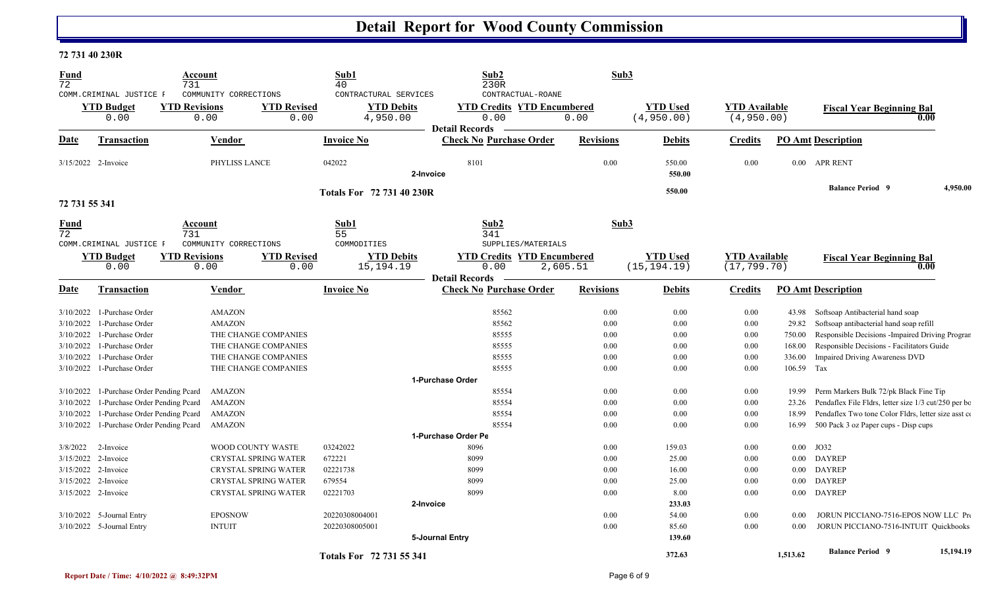#### **72 731 40 230R**

| <b>Fund</b><br>$\overline{72}$                                   | COMM.CRIMINAL JUSTICE F                                                                                                              | Account<br>731               | COMMUNITY CORRECTIONS                                                           |                            | Sub1<br>40<br>CONTRACTURAL SERVICES |                 | Sub <sub>2</sub><br>230R<br>CONTRACTUAL-ROANE                      |                              | Sub3                            |                                      |                                  |                                                                                                                                                                                               |           |
|------------------------------------------------------------------|--------------------------------------------------------------------------------------------------------------------------------------|------------------------------|---------------------------------------------------------------------------------|----------------------------|-------------------------------------|-----------------|--------------------------------------------------------------------|------------------------------|---------------------------------|--------------------------------------|----------------------------------|-----------------------------------------------------------------------------------------------------------------------------------------------------------------------------------------------|-----------|
|                                                                  | <b>YTD Budget</b><br>0.00                                                                                                            | <b>YTD Revisions</b><br>0.00 |                                                                                 | <b>YTD Revised</b><br>0.00 | <b>YTD Debits</b><br>4,950.00       |                 | <b>YTD Credits YTD Encumbered</b><br>0.00<br><b>Detail Records</b> | 0.00                         | <b>YTD Used</b><br>(4,950.00)   | <b>YTD Available</b><br>(4,950.00)   |                                  | <b>Fiscal Year Beginning Bal</b>                                                                                                                                                              | 0.00      |
| Date                                                             | Transaction                                                                                                                          |                              | Vendor                                                                          |                            | <b>Invoice No</b>                   |                 | <b>Check No Purchase Order</b>                                     | <b>Revisions</b>             | <b>Debits</b>                   | <b>Credits</b>                       |                                  | <b>PO Amt Description</b>                                                                                                                                                                     |           |
| 3/15/2022 2-Invoice                                              |                                                                                                                                      |                              | PHYLISS LANCE                                                                   |                            | 042022                              | 2-Invoice       | 8101                                                               | 0.00                         | 550.00<br>550.00                | 0.00                                 |                                  | 0.00 APR RENT                                                                                                                                                                                 |           |
| 72 731 55 341                                                    |                                                                                                                                      |                              |                                                                                 |                            | Totals For 72 731 40 230R           |                 |                                                                    |                              | 550.00                          |                                      |                                  | <b>Balance Period 9</b>                                                                                                                                                                       | 4,950.00  |
| Fund<br>72                                                       | COMM. CRIMINAL JUSTICE F                                                                                                             | Account<br>731               | COMMUNITY CORRECTIONS                                                           |                            | Sub1<br>55<br>COMMODITIES           |                 | Sub2<br>341<br>SUPPLIES/MATERIALS                                  |                              | Sub3                            |                                      |                                  |                                                                                                                                                                                               |           |
|                                                                  | <b>YTD Budget</b><br>0.00                                                                                                            | <b>YTD Revisions</b><br>0.00 |                                                                                 | <b>YTD Revised</b><br>0.00 | <b>YTD Debits</b><br>15, 194. 19    |                 | <b>YTD Credits YTD Encumbered</b><br>0.00<br><b>Detail Records</b> | 2,605.51                     | <b>YTD Used</b><br>(15, 194.19) | <b>YTD</b> Available<br>(17, 799.70) |                                  | <b>Fiscal Year Beginning Bal</b>                                                                                                                                                              | 0.00      |
| <b>Date</b>                                                      | Transaction                                                                                                                          |                              | Vendor                                                                          |                            | <b>Invoice No</b>                   |                 | <b>Check No Purchase Order</b>                                     | <b>Revisions</b>             | <b>Debits</b>                   | <b>Credits</b>                       |                                  | <b>PO Amt Description</b>                                                                                                                                                                     |           |
| 3/10/2022<br>3/10/2022                                           | 1-Purchase Order<br>1-Purchase Order                                                                                                 |                              | <b>AMAZON</b><br><b>AMAZON</b>                                                  |                            |                                     |                 | 85562<br>85562                                                     | 0.00<br>0.00                 | 0.00<br>0.00                    | 0.00<br>0.00                         | 43.98<br>29.82                   | Softsoap Antibacterial hand soap<br>Softsoap antibacterial hand soap refill                                                                                                                   |           |
| 3/10/2022                                                        | 1-Purchase Order                                                                                                                     |                              | THE CHANGE COMPANIES                                                            |                            |                                     |                 | 85555                                                              | 0.00                         | 0.00                            | 0.00                                 | 750.00                           | Responsible Decisions - Impaired Driving Program                                                                                                                                              |           |
| 3/10/2022<br>3/10/2022                                           | 1-Purchase Order<br>1-Purchase Order                                                                                                 |                              | THE CHANGE COMPANIES<br>THE CHANGE COMPANIES                                    |                            |                                     |                 | 85555<br>85555                                                     | 0.00<br>0.00                 | 0.00<br>0.00                    | 0.00<br>0.00                         | 168.00<br>336.00                 | Responsible Decisions - Facilitators Guide<br>Impaired Driving Awareness DVD                                                                                                                  |           |
| 3/10/2022                                                        | 1-Purchase Order                                                                                                                     |                              | THE CHANGE COMPANIES                                                            |                            |                                     |                 | 85555<br>1-Purchase Order                                          | 0.00                         | 0.00                            | 0.00                                 | 106.59                           | Tax                                                                                                                                                                                           |           |
| 3/10/2022<br>3/10/2022<br>3/10/2022<br>3/10/2022                 | 1-Purchase Order Pending Peard<br>1-Purchase Order Pending Peard<br>1-Purchase Order Pending Peard<br>1-Purchase Order Pending Pcard |                              | <b>AMAZON</b><br><b>AMAZON</b><br><b>AMAZON</b><br><b>AMAZON</b>                |                            |                                     |                 | 85554<br>85554<br>85554<br>85554                                   | 0.00<br>0.00<br>0.00<br>0.00 | 0.00<br>0.00<br>0.00<br>0.00    | 0.00<br>0.00<br>0.00<br>0.00         | 19.99<br>23.26<br>18.99<br>16.99 | Perm Markers Bulk 72/pk Black Fine Tip<br>Pendaflex File Fldrs, letter size 1/3 cut/250 per bo<br>Pendaflex Two tone Color Fldrs, letter size asst co<br>500 Pack 3 oz Paper cups - Disp cups |           |
|                                                                  |                                                                                                                                      |                              |                                                                                 |                            |                                     |                 | 1-Purchase Order Pe                                                |                              |                                 |                                      |                                  |                                                                                                                                                                                               |           |
| 3/8/2022 2-Invoice<br>3/15/2022 2-Invoice<br>3/15/2022 2-Invoice |                                                                                                                                      |                              | WOOD COUNTY WASTE<br><b>CRYSTAL SPRING WATER</b><br><b>CRYSTAL SPRING WATER</b> |                            | 03242022<br>672221<br>02221738      |                 | 8096<br>8099<br>8099                                               | 0.00<br>0.00<br>0.00         | 159.03<br>25.00<br>16.00        | 0.00<br>0.00<br>0.00                 | $0.00\,$<br>$0.00\,$<br>$0.00\,$ | JO32<br><b>DAYREP</b><br><b>DAYREP</b>                                                                                                                                                        |           |
| 3/15/2022 2-Invoice<br>3/15/2022 2-Invoice                       |                                                                                                                                      |                              | CRYSTAL SPRING WATER<br><b>CRYSTAL SPRING WATER</b>                             |                            | 679554<br>02221703                  | 2-Invoice       | 8099<br>8099                                                       | 0.00<br>0.00                 | 25.00<br>8.00<br>233.03         | 0.00<br>0.00                         | $0.00\,$                         | <b>DAYREP</b><br>0.00 DAYREP                                                                                                                                                                  |           |
|                                                                  | 3/10/2022 5-Journal Entry<br>3/10/2022 5-Journal Entry                                                                               |                              | <b>EPOSNOW</b><br><b>INTUIT</b>                                                 |                            | 20220308004001<br>20220308005001    | 5-Journal Entry |                                                                    | 0.00<br>0.00                 | 54.00<br>85.60<br>139.60        | 0.00<br>0.00                         | 0.00<br>$0.00\,$                 | JORUN PICCIANO-7516-EPOS NOW LLC Pro<br>JORUN PICCIANO-7516-INTUIT Quickbooks                                                                                                                 |           |
|                                                                  |                                                                                                                                      |                              |                                                                                 |                            | Totals For 72 731 55 341            |                 |                                                                    |                              | 372.63                          |                                      | 1,513.62                         | <b>Balance Period 9</b>                                                                                                                                                                       | 15,194.19 |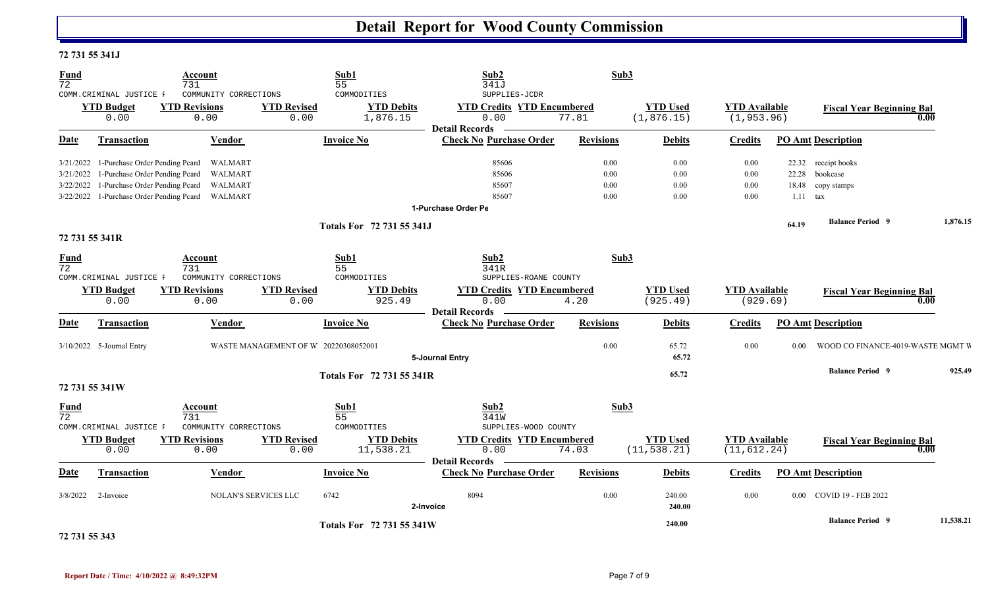#### **72 731 55 341J**

| <b>Fund</b><br>$\overline{72}$ | COMM.CRIMINAL JUSTICE F                                                    | Account<br>731<br>COMMUNITY CORRECTIONS                     |                                      | Sub1<br>55<br>COMMODITIES      | Sub2<br>341J<br>SUPPLIES-JCDR                                      | Sub3             |                                 |                                      |                   |                                          |           |
|--------------------------------|----------------------------------------------------------------------------|-------------------------------------------------------------|--------------------------------------|--------------------------------|--------------------------------------------------------------------|------------------|---------------------------------|--------------------------------------|-------------------|------------------------------------------|-----------|
|                                | <b>YTD Budget</b><br>0.00                                                  | <b>YTD Revisions</b><br>0.00                                | <b>YTD Revised</b><br>0.00           | <b>YTD Debits</b><br>1,876.15  | <b>YTD Credits YTD Encumbered</b><br>0.00<br><b>Detail Records</b> | 77.81            | <b>YTD Used</b><br>(1, 876.15)  | <b>YTD</b> Available<br>(1, 953.96)  |                   | <b>Fiscal Year Beginning Bal</b>         | 0.00      |
| Date                           | Transaction                                                                | Vendor                                                      |                                      | <b>Invoice No</b>              | <b>Check No Purchase Order</b>                                     | <b>Revisions</b> | <b>Debits</b>                   | <b>Credits</b>                       |                   | <b>PO Amt Description</b>                |           |
| 3/21/2022                      | 3/21/2022 1-Purchase Order Pending Pcard<br>1-Purchase Order Pending Pcard | WALMART<br>WALMART                                          |                                      |                                | 85606<br>85606                                                     | 0.00<br>$0.00\,$ | $0.00\,$<br>$0.00\,$            | 0.00<br>0.00                         | 22.28             | 22.32 receipt books<br>bookcase          |           |
| 3/22/2022                      | 1-Purchase Order Pending Pcard                                             | WALMART<br>3/22/2022 1-Purchase Order Pending Pcard WALMART |                                      |                                | 85607<br>85607                                                     | 0.00<br>0.00     | $0.00\,$<br>$0.00\,$            | 0.00<br>0.00                         |                   | 18.48 copy stamps<br>$1.11$ tax          |           |
|                                |                                                                            |                                                             |                                      |                                | 1-Purchase Order Pe                                                |                  |                                 |                                      |                   |                                          |           |
|                                | 72 731 55 341R                                                             |                                                             |                                      | Totals For 72 731 55 341J      |                                                                    |                  |                                 |                                      | 64.19             | <b>Balance Period 9</b>                  | 1,876.15  |
| <b>Fund</b><br>$\overline{72}$ | COMM. CRIMINAL JUSTICE F                                                   | Account<br>731<br>COMMUNITY CORRECTIONS                     |                                      | Sub1<br>55<br>COMMODITIES      | Sub2<br>341R<br>SUPPLIES-ROANE COUNTY                              | Sub3             |                                 |                                      |                   |                                          |           |
|                                | <b>YTD Budget</b><br>0.00                                                  | <b>YTD Revisions</b><br>0.00                                | <b>YTD Revised</b><br>0.00           | <b>YTD Debits</b><br>925.49    | <b>YTD Credits YTD Encumbered</b><br>0.00<br><b>Detail Records</b> | 4.20             | <b>YTD Used</b><br>(925.49)     | <b>YTD</b> Available<br>(929.69)     |                   | <b>Fiscal Year Beginning Bal</b><br>0.00 |           |
| Date                           | Transaction                                                                | Vendor                                                      |                                      | <b>Invoice No</b>              | <b>Check No Purchase Order</b>                                     | <b>Revisions</b> | <b>Debits</b>                   | <b>Credits</b>                       |                   | <b>PO Amt Description</b>                |           |
|                                | 3/10/2022 5-Journal Entry                                                  |                                                             | WASTE MANAGEMENT OF W 20220308052001 |                                | 5-Journal Entry                                                    | $0.00\,$         | 65.72<br>65.72                  | 0.00                                 | 0.00 <sub>1</sub> | WOOD CO FINANCE-4019-WASTE MGMT V        |           |
|                                |                                                                            |                                                             |                                      | Totals For 72 731 55 341R      |                                                                    |                  | 65.72                           |                                      |                   | <b>Balance Period 9</b>                  | 925.49    |
|                                | 72 731 55 341W                                                             |                                                             |                                      |                                |                                                                    |                  |                                 |                                      |                   |                                          |           |
| <b>Fund</b><br>72              | COMM. CRIMINAL JUSTICE F                                                   | Account<br>731<br>COMMUNITY CORRECTIONS                     |                                      | Sub1<br>55<br>COMMODITIES      | Sub2<br>341W<br>SUPPLIES-WOOD COUNTY                               | Sub3             |                                 |                                      |                   |                                          |           |
|                                | <b>YTD Budget</b><br>0.00                                                  | <b>YTD Revisions</b><br>0.00                                | <b>YTD Revised</b><br>0.00           | <b>YTD Debits</b><br>11,538.21 | <b>YTD Credits YTD Encumbered</b><br>0.00<br><b>Detail Records</b> | 74.03            | <b>YTD Used</b><br>(11, 538.21) | <b>YTD</b> Available<br>(11, 612.24) |                   | <b>Fiscal Year Beginning Bal</b><br>0.00 |           |
| Date                           | Transaction                                                                | Vendor                                                      |                                      | <b>Invoice No</b>              | <b>Check No Purchase Order</b>                                     | <b>Revisions</b> | <b>Debits</b>                   | <b>Credits</b>                       |                   | <b>PO Amt Description</b>                |           |
| 3/8/2022                       | 2-Invoice                                                                  |                                                             | <b>NOLAN'S SERVICES LLC</b>          | 6742                           | 8094<br>2-Invoice                                                  | $0.00\,$         | 240.00<br>240.00                | 0.00                                 |                   | 0.00 COVID 19 - FEB 2022                 |           |
|                                |                                                                            |                                                             |                                      | Totals For 72 731 55 341W      |                                                                    |                  | 240.00                          |                                      |                   | <b>Balance Period 9</b>                  | 11,538.21 |

**72 731 55 343**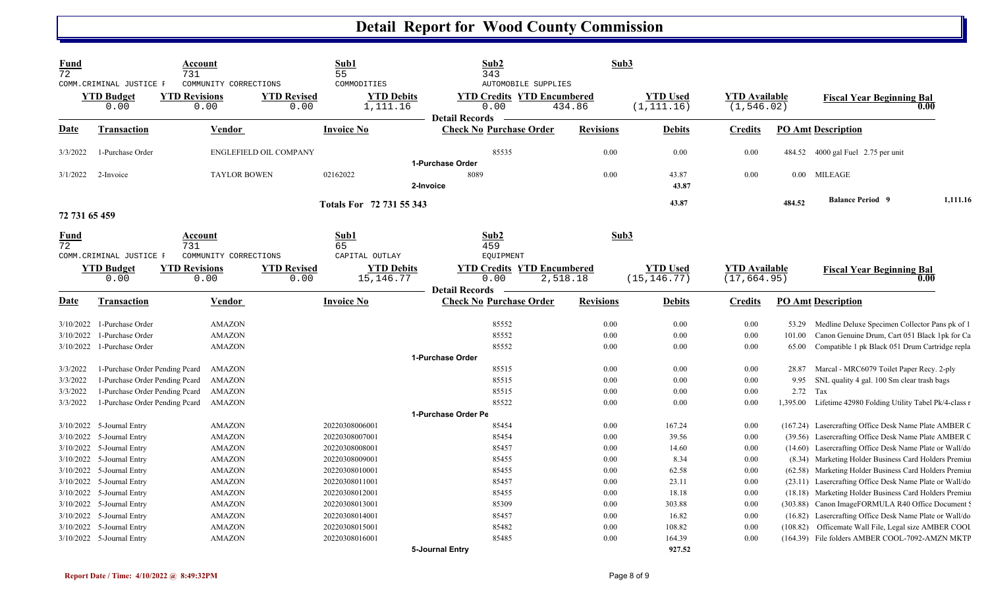| <b>Fund</b><br>72 | COMM. CRIMINAL JUSTICE F       | Account<br>731<br>COMMUNITY CORRECTIONS |                            | Sub1<br>55<br>COMMODITIES        | Sub2<br>343<br><b>AUTOMOBILE SUPPLIES</b>                          | Sub3             |                                 |                                      |          |                                                         |          |
|-------------------|--------------------------------|-----------------------------------------|----------------------------|----------------------------------|--------------------------------------------------------------------|------------------|---------------------------------|--------------------------------------|----------|---------------------------------------------------------|----------|
|                   | <b>YTD Budget</b><br>0.00      | <b>YTD Revisions</b><br>0.00            | <b>YTD Revised</b><br>0.00 | <b>YTD Debits</b><br>1,111.16    | <b>YTD Credits YTD Encumbered</b><br>0.00<br><b>Detail Records</b> | 434.86           | <b>YTD Used</b><br>(1, 111.16)  | <b>YTD</b> Available<br>(1, 546.02)  |          | <b>Fiscal Year Beginning Bal</b><br>0.00                |          |
| Date              | <b>Transaction</b>             | <b>Vendor</b>                           |                            | <b>Invoice No</b>                | <b>Check No Purchase Order</b>                                     | <b>Revisions</b> | <b>Debits</b>                   | <b>Credits</b>                       |          | <b>PO Amt Description</b>                               |          |
| 3/3/2022          | 1-Purchase Order               |                                         | ENGLEFIELD OIL COMPANY     |                                  | 85535                                                              | 0.00             | 0.00                            | 0.00                                 | 484.52   | 4000 gal Fuel 2.75 per unit                             |          |
|                   |                                |                                         |                            |                                  | 1-Purchase Order                                                   |                  |                                 |                                      |          |                                                         |          |
| 3/1/2022          | 2-Invoice                      | <b>TAYLOR BOWEN</b>                     |                            | 02162022                         | 8089                                                               | 0.00             | 43.87                           | 0.00                                 | 0.00     | <b>MILEAGE</b>                                          |          |
|                   |                                |                                         |                            |                                  | 2-Invoice                                                          |                  | 43.87                           |                                      |          |                                                         |          |
|                   |                                |                                         |                            | Totals For 72 731 55 343         |                                                                    |                  | 43.87                           |                                      | 484.52   | <b>Balance Period 9</b>                                 | 1,111.16 |
| 72 731 65 459     |                                |                                         |                            |                                  |                                                                    |                  |                                 |                                      |          |                                                         |          |
| Fund<br>72        | COMM. CRIMINAL JUSTICE F       | Account<br>731<br>COMMUNITY CORRECTIONS |                            | Sub1<br>65<br>CAPITAL OUTLAY     | Sub2<br>459<br><b>EQUIPMENT</b>                                    | Sub3             |                                 |                                      |          |                                                         |          |
|                   | <b>YTD Budget</b><br>0.00      | <b>YTD Revisions</b><br>0.00            | <b>YTD Revised</b><br>0.00 | <b>YTD Debits</b><br>15, 146. 77 | <b>YTD Credits YTD Encumbered</b><br>0.00                          | 2,518.18         | <b>YTD Used</b><br>(15, 146.77) | <b>YTD Available</b><br>(17, 664.95) |          | <b>Fiscal Year Beginning Bal</b><br>0.00                |          |
|                   |                                |                                         |                            |                                  | <b>Detail Records</b>                                              |                  |                                 |                                      |          |                                                         |          |
| Date              | Transaction                    | Vendor                                  |                            | <b>Invoice No</b>                | <b>Check No Purchase Order</b>                                     | <b>Revisions</b> | <b>Debits</b>                   | <b>Credits</b>                       |          | <b>PO Amt Description</b>                               |          |
|                   | 3/10/2022 1-Purchase Order     | <b>AMAZON</b>                           |                            |                                  | 85552                                                              | 0.00             | 0.00                            | 0.00                                 |          | 53.29 Medline Deluxe Specimen Collector Pans pk of 1    |          |
| 3/10/2022         | 1-Purchase Order               | <b>AMAZON</b>                           |                            |                                  | 85552                                                              | 0.00             | 0.00                            | 0.00                                 | 101.00   | Canon Genuine Drum, Cart 051 Black 1pk for Ca           |          |
| 3/10/2022         | 1-Purchase Order               | <b>AMAZON</b>                           |                            |                                  | 85552                                                              | 0.00             | 0.00                            | 0.00                                 | 65.00    | Compatible 1 pk Black 051 Drum Cartridge repla          |          |
|                   |                                |                                         |                            |                                  | 1-Purchase Order                                                   |                  |                                 |                                      |          |                                                         |          |
| 3/3/2022          | 1-Purchase Order Pending Peard | AMAZON                                  |                            |                                  | 85515                                                              | 0.00             | 0.00                            | $0.00\,$                             | 28.87    | Marcal - MRC6079 Toilet Paper Recy. 2-ply               |          |
| 3/3/2022          | 1-Purchase Order Pending Peard | <b>AMAZON</b>                           |                            |                                  | 85515                                                              | 0.00             | 0.00                            | 0.00                                 | 9.95     | SNL quality 4 gal. 100 Sm clear trash bags              |          |
| 3/3/2022          | 1-Purchase Order Pending Peard | <b>AMAZON</b>                           |                            |                                  | 85515                                                              | 0.00             | 0.00                            | 0.00                                 | 2.72     | Tax                                                     |          |
| 3/3/2022          | 1-Purchase Order Pending Peard | AMAZON                                  |                            |                                  | 85522                                                              | 0.00             | 0.00                            | 0.00                                 | 1,395.00 | Lifetime 42980 Folding Utility Tabel Pk/4-class r       |          |
|                   |                                |                                         |                            |                                  | 1-Purchase Order Pe                                                |                  |                                 |                                      |          |                                                         |          |
|                   | 3/10/2022 5-Journal Entry      | <b>AMAZON</b>                           |                            | 20220308006001                   | 85454                                                              | 0.00             | 167.24                          | 0.00                                 |          | (167.24) Lasercrafting Office Desk Name Plate AMBER C   |          |
|                   | 3/10/2022 5-Journal Entry      | <b>AMAZON</b>                           |                            | 20220308007001                   | 85454                                                              | 0.00             | 39.56                           | 0.00                                 |          | (39.56) Lasercrafting Office Desk Name Plate AMBER C    |          |
|                   | 3/10/2022 5-Journal Entry      | <b>AMAZON</b>                           |                            | 20220308008001                   | 85457                                                              | 0.00             | 14.60                           | 0.00                                 |          | (14.60) Lasercrafting Office Desk Name Plate or Wall/do |          |
| 3/10/2022         | 5-Journal Entry                | <b>AMAZON</b>                           |                            | 20220308009001                   | 85455                                                              | 0.00             | 8.34                            | 0.00                                 |          | (8.34) Marketing Holder Business Card Holders Premius   |          |
|                   | 3/10/2022 5-Journal Entry      | <b>AMAZON</b>                           |                            | 20220308010001                   | 85455                                                              | 0.00             | 62.58                           | 0.00                                 |          | (62.58) Marketing Holder Business Card Holders Premius  |          |
|                   | 3/10/2022 5-Journal Entry      | <b>AMAZON</b>                           |                            | 20220308011001                   | 85457                                                              | 0.00             | 23.11                           | 0.00                                 |          | (23.11) Lasercrafting Office Desk Name Plate or Wall/do |          |
| 3/10/2022         | 5-Journal Entry                | <b>AMAZON</b>                           |                            | 20220308012001                   | 85455                                                              | 0.00             | 18.18                           | 0.00                                 |          | (18.18) Marketing Holder Business Card Holders Premius  |          |
|                   | 3/10/2022 5-Journal Entry      | <b>AMAZON</b>                           |                            | 20220308013001                   | 85309                                                              | 0.00             | 303.88                          | 0.00                                 |          | (303.88) Canon ImageFORMULA R40 Office Document !       |          |
|                   | 3/10/2022 5-Journal Entry      | <b>AMAZON</b>                           |                            | 20220308014001                   | 85457                                                              | 0.00             | 16.82                           | 0.00                                 |          | (16.82) Lasercrafting Office Desk Name Plate or Wall/do |          |
|                   | 3/10/2022 5-Journal Entry      | <b>AMAZON</b>                           |                            | 20220308015001                   | 85482                                                              | 0.00             | 108.82                          | 0.00                                 | (108.82) | Officemate Wall File, Legal size AMBER COOI             |          |
|                   | 3/10/2022 5-Journal Entry      | <b>AMAZON</b>                           |                            | 20220308016001                   | 85485<br>5-Journal Entry                                           | 0.00             | 164.39<br>927.52                | 0.00                                 |          | (164.39) File folders AMBER COOL-7092-AMZN MKTF         |          |